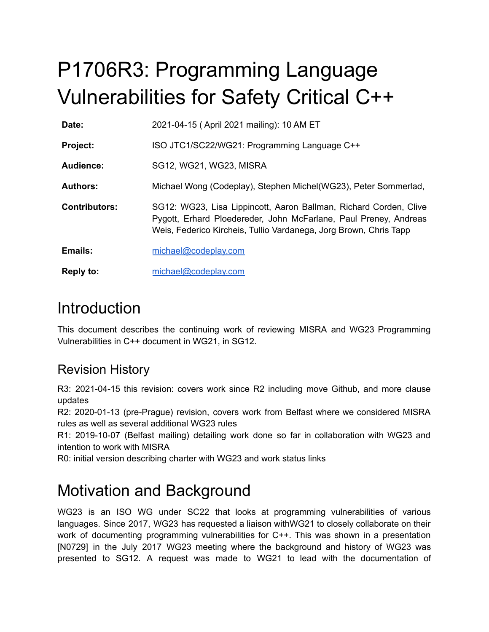# P1706R3: Programming Language Vulnerabilities for Safety Critical C++

| Date:                | 2021-04-15 (April 2021 mailing): 10 AM ET                                                                                                                                                                  |
|----------------------|------------------------------------------------------------------------------------------------------------------------------------------------------------------------------------------------------------|
| <b>Project:</b>      | ISO JTC1/SC22/WG21: Programming Language C++                                                                                                                                                               |
| Audience:            | SG12, WG21, WG23, MISRA                                                                                                                                                                                    |
| <b>Authors:</b>      | Michael Wong (Codeplay), Stephen Michel(WG23), Peter Sommerlad,                                                                                                                                            |
| <b>Contributors:</b> | SG12: WG23, Lisa Lippincott, Aaron Ballman, Richard Corden, Clive<br>Pygott, Erhard Ploedereder, John McFarlane, Paul Preney, Andreas<br>Weis, Federico Kircheis, Tullio Vardanega, Jorg Brown, Chris Tapp |
| <b>Emails:</b>       | michael@codeplay.com                                                                                                                                                                                       |
| <b>Reply to:</b>     | michael@codeplay.com                                                                                                                                                                                       |

## **Introduction**

This document describes the continuing work of reviewing MISRA and WG23 Programming Vulnerabilities in C++ document in WG21, in SG12.

#### Revision History

R3: 2021-04-15 this revision: covers work since R2 including move Github, and more clause updates

R2: 2020-01-13 (pre-Prague) revision, covers work from Belfast where we considered MISRA rules as well as several additional WG23 rules

R1: 2019-10-07 (Belfast mailing) detailing work done so far in collaboration with WG23 and intention to work with MISRA

R0: initial version describing charter with WG23 and work status links

# Motivation and Background

WG23 is an ISO WG under SC22 that looks at programming vulnerabilities of various languages. Since 2017, WG23 has requested a liaison withWG21 to closely collaborate on their work of documenting programming vulnerabilities for C++. This was shown in a presentation [N0729] in the July 2017 WG23 meeting where the background and history of WG23 was presented to SG12. A request was made to WG21 to lead with the documentation of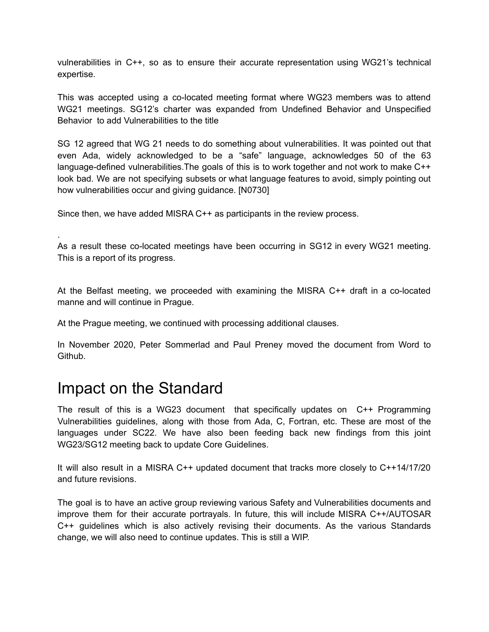vulnerabilities in C++, so as to ensure their accurate representation using WG21's technical expertise.

This was accepted using a co-located meeting format where WG23 members was to attend WG21 meetings. SG12's charter was expanded from Undefined Behavior and Unspecified Behavior to add Vulnerabilities to the title

SG 12 agreed that WG 21 needs to do something about vulnerabilities. It was pointed out that even Ada, widely acknowledged to be a "safe" language, acknowledges 50 of the 63 language-defined vulnerabilities. The goals of this is to work together and not work to make C++ look bad. We are not specifying subsets or what language features to avoid, simply pointing out how vulnerabilities occur and giving guidance. [N0730]

Since then, we have added MISRA C++ as participants in the review process.

As a result these co-located meetings have been occurring in SG12 in every WG21 meeting. This is a report of its progress.

At the Belfast meeting, we proceeded with examining the MISRA C++ draft in a co-located manne and will continue in Prague.

At the Prague meeting, we continued with processing additional clauses.

In November 2020, Peter Sommerlad and Paul Preney moved the document from Word to Github.

#### Impact on the Standard

.

The result of this is a WG23 document that specifically updates on C++ Programming Vulnerabilities guidelines, along with those from Ada, C, Fortran, etc. These are most of the languages under SC22. We have also been feeding back new findings from this joint WG23/SG12 meeting back to update Core Guidelines.

It will also result in a MISRA C++ updated document that tracks more closely to C++14/17/20 and future revisions.

The goal is to have an active group reviewing various Safety and Vulnerabilities documents and improve them for their accurate portrayals. In future, this will include MISRA C++/AUTOSAR C++ guidelines which is also actively revising their documents. As the various Standards change, we will also need to continue updates. This is still a WIP.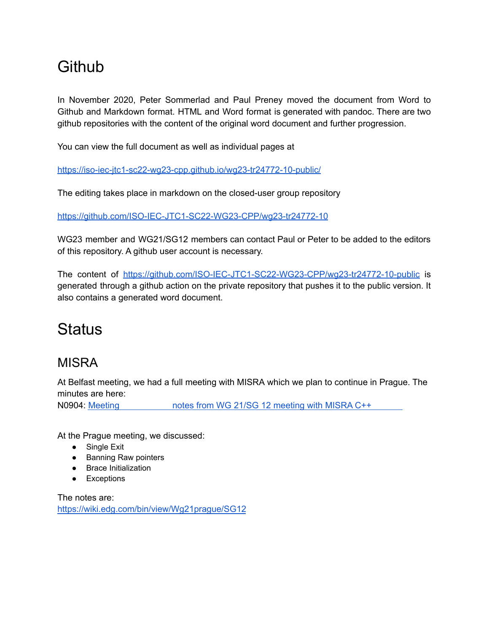## **Github**

In November 2020, Peter Sommerlad and Paul Preney moved the document from Word to Github and Markdown format. HTML and Word format is generated with pandoc. There are two github repositories with the content of the original word document and further progression.

You can view the full document as well as individual pages at

https://iso-iec-jtc1-sc22-wg23-cpp.github.io/wg23-tr24772-10-public/

The editing takes place in markdown on the closed-user group repository

https://github.com/ISO-IEC-JTC1-SC22-WG23-CPP/wg23-tr24772-10

WG23 member and WG21/SG12 members can contact Paul or Peter to be added to the editors of this repository. A github user account is necessary.

The content of <https://github.com/ISO-IEC-JTC1-SC22-WG23-CPP/wg23-tr24772-10-public> is generated through a github action on the private repository that pushes it to the public version. It also contains a generated word document.

## **Status**

#### **MISRA**

At Belfast meeting, we had a full meeting with MISRA which we plan to continue in Prague. The minutes are here:

N0904: Meeting notes from WG 21/SG 12 [meeting](http://www.open-std.org/JTC1/SC22/WG23/docs/ISO-IECJTC1-SC22-WG23_N0904-wg21sg12-misra-wg23-mtg-notes.docx) with MISRA C++

At the Prague meeting, we discussed:

- Single Exit
- Banning Raw pointers
- Brace Initialization
- Exceptions

The notes are: <https://wiki.edg.com/bin/view/Wg21prague/SG12>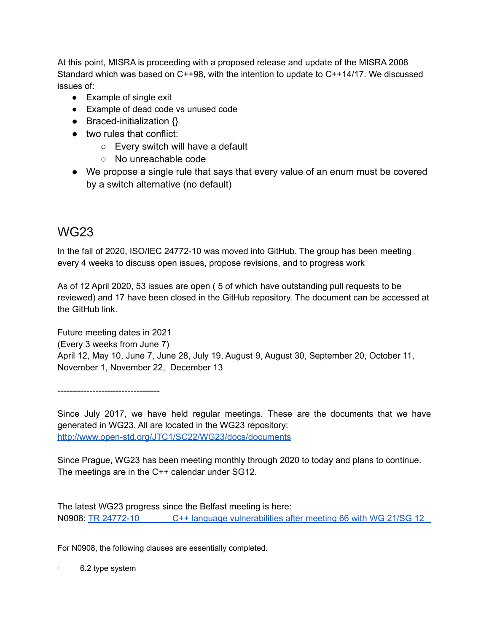At this point, MISRA is proceeding with a proposed release and update of the MISRA 2008 Standard which was based on C++98, with the intention to update to C++14/17. We discussed issues of:

- Example of single exit
- Example of dead code vs unused code
- Braced-initialization  $\{\}$
- two rules that conflict:
	- Every switch will have a default
	- No unreachable code
- We propose a single rule that says that every value of an enum must be covered by a switch alternative (no default)

#### WG23

In the fall of 2020, ISO/IEC 24772-10 was moved into GitHub. The group has been meeting every 4 weeks to discuss open issues, propose revisions, and to progress work

As of 12 April 2020, 53 issues are open ( 5 of which have outstanding pull requests to be reviewed) and 17 have been closed in the GitHub repository. The document can be accessed at the GitHub link.

Future meeting dates in 2021 (Every 3 weeks from June 7) April 12, May 10, June 7, June 28, July 19, August 9, August 30, September 20, October 11, November 1, November 22, December 13

-----------------------------------

Since July 2017, we have held regular meetings. These are the documents that we have generated in WG23. All are located in the WG23 repository: <http://www.open-std.org/JTC1/SC22/WG23/docs/documents>

Since Prague, WG23 has been meeting monthly through 2020 to today and plans to continue. The meetings are in the C++ calendar under SG12.

The latest WG23 progress since the Belfast meeting is here: N0908: TR 24772-10 C++ language [vulnerabilities](http://www.open-std.org/JTC1/SC22/WG23/docs/ISO-IECJTC1-SC22-WG23_N0908-tr24772-10-C++-after-mtg-66-20191107.docx) after meeting 66 with WG 21/SG 12

For N0908, the following clauses are essentially completed.

6.2 type system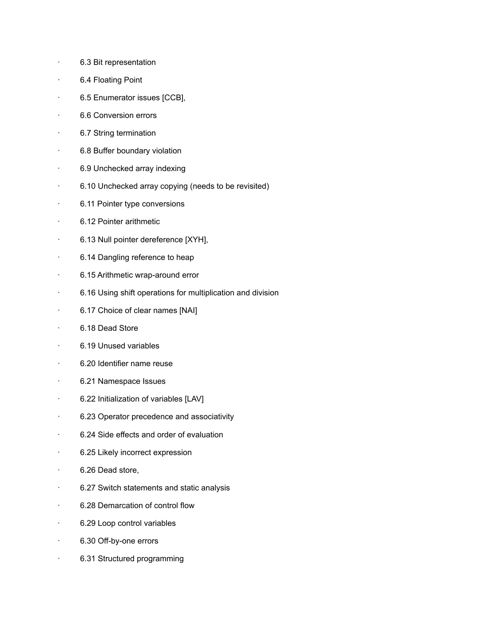- · 6.3 Bit representation
- · 6.4 Floating Point
- · 6.5 Enumerator issues [CCB],
- · 6.6 Conversion errors
- 6.7 String termination
- · 6.8 Buffer boundary violation
- · 6.9 Unchecked array indexing
- · 6.10 Unchecked array copying (needs to be revisited)
- · 6.11 Pointer type conversions
- · 6.12 Pointer arithmetic
- · 6.13 Null pointer dereference [XYH],
- · 6.14 Dangling reference to heap
- · 6.15 Arithmetic wrap-around error
- · 6.16 Using shift operations for multiplication and division
- · 6.17 Choice of clear names [NAI]
- · 6.18 Dead Store
- · 6.19 Unused variables
- · 6.20 Identifier name reuse
- · 6.21 Namespace Issues
- · 6.22 Initialization of variables [LAV]
- · 6.23 Operator precedence and associativity
- · 6.24 Side effects and order of evaluation
- · 6.25 Likely incorrect expression
- · 6.26 Dead store,
- · 6.27 Switch statements and static analysis
- · 6.28 Demarcation of control flow
- · 6.29 Loop control variables
- · 6.30 Off-by-one errors
- · 6.31 Structured programming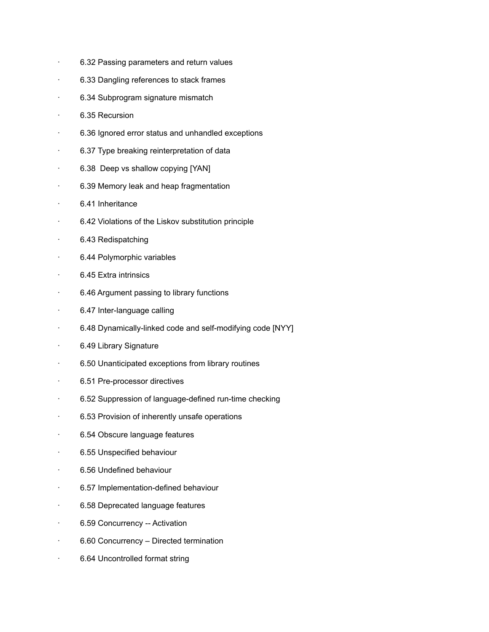- · 6.32 Passing parameters and return values
- · 6.33 Dangling references to stack frames
- · 6.34 Subprogram signature mismatch
- · 6.35 Recursion
- · 6.36 Ignored error status and unhandled exceptions
- · 6.37 Type breaking reinterpretation of data
- · 6.38 Deep vs shallow copying [YAN]
- · 6.39 Memory leak and heap fragmentation
- · 6.41 Inheritance
- · 6.42 Violations of the Liskov substitution principle
- · 6.43 Redispatching
- · 6.44 Polymorphic variables
- · 6.45 Extra intrinsics
- · 6.46 Argument passing to library functions
- · 6.47 Inter-language calling
- · 6.48 Dynamically-linked code and self-modifying code [NYY]
- · 6.49 Library Signature
- · 6.50 Unanticipated exceptions from library routines
- · 6.51 Pre-processor directives
- · 6.52 Suppression of language-defined run-time checking
- · 6.53 Provision of inherently unsafe operations
- · 6.54 Obscure language features
- · 6.55 Unspecified behaviour
- · 6.56 Undefined behaviour
- · 6.57 Implementation-defined behaviour
- · 6.58 Deprecated language features
- · 6.59 Concurrency -- Activation
- · 6.60 Concurrency Directed termination
- · 6.64 Uncontrolled format string